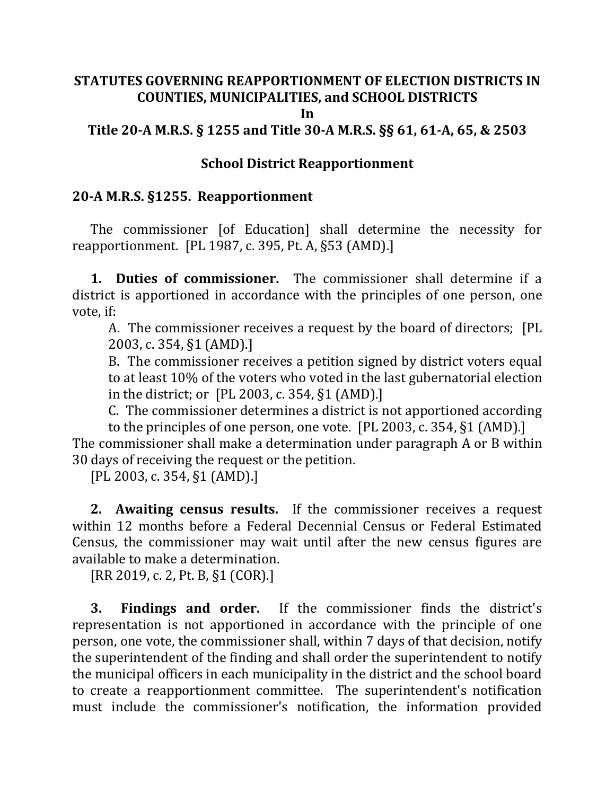# **STATUTES GOVERNING REAPPORTIONMENT OF ELECTION DISTRICTS IN COUNTIES, MUNICIPALITIES, and SCHOOL DISTRICTS**

#### **In**

**Title 20-A M.R.S. § 1255 and Title 30-A M.R.S. §§ 61, 61-A, 65, & 2503**

#### **School District Reapportionment**

### **20-A M.R.S. §1255. Reapportionment**

The commissioner [of Education] shall determine the necessity for reapportionment. [PL 1987, c. 395, Pt. A, §53 (AMD).]

**1. Duties of commissioner.** The commissioner shall determine if a district is apportioned in accordance with the principles of one person, one vote, if:

A. The commissioner receives a request by the board of directors; [PL 2003, c. 354, §1 (AMD).]

B. The commissioner receives a petition signed by district voters equal to at least 10% of the voters who voted in the last gubernatorial election in the district; or [PL 2003, c. 354, §1 (AMD).]

C. The commissioner determines a district is not apportioned according

to the principles of one person, one vote. [PL 2003, c. 354, §1 (AMD).]

The commissioner shall make a determination under paragraph A or B within 30 days of receiving the request or the petition.

[PL 2003, c. 354, §1 (AMD).]

**2. Awaiting census results.** If the commissioner receives a request within 12 months before a Federal Decennial Census or Federal Estimated Census, the commissioner may wait until after the new census figures are available to make a determination.

[RR 2019, c. 2, Pt. B, §1 (COR).]

**3. Findings and order.** If the commissioner finds the district's representation is not apportioned in accordance with the principle of one person, one vote, the commissioner shall, within 7 days of that decision, notify the superintendent of the finding and shall order the superintendent to notify the municipal officers in each municipality in the district and the school board to create a reapportionment committee. The superintendent's notification must include the commissioner's notification, the information provided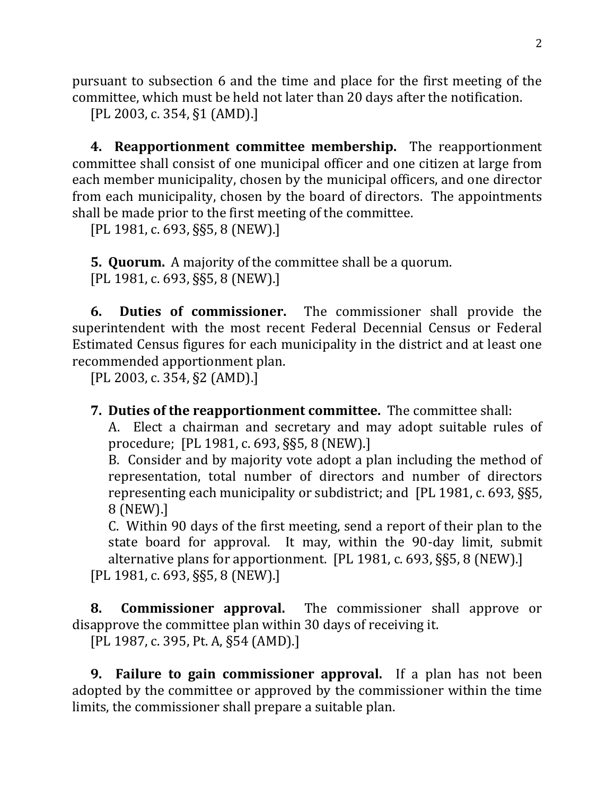pursuant to subsection 6 and the time and place for the first meeting of the committee, which must be held not later than 20 days after the notification.

[PL 2003, c. 354, §1 (AMD).]

**4. Reapportionment committee membership.** The reapportionment committee shall consist of one municipal officer and one citizen at large from each member municipality, chosen by the municipal officers, and one director from each municipality, chosen by the board of directors. The appointments shall be made prior to the first meeting of the committee.

[PL 1981, c. 693, §§5, 8 (NEW).]

**5. Quorum.** A majority of the committee shall be a quorum. [PL 1981, c. 693, §§5, 8 (NEW).]

**6. Duties of commissioner.** The commissioner shall provide the superintendent with the most recent Federal Decennial Census or Federal Estimated Census figures for each municipality in the district and at least one recommended apportionment plan.

[PL 2003, c. 354, §2 (AMD).]

**7. Duties of the reapportionment committee.** The committee shall:

A. Elect a chairman and secretary and may adopt suitable rules of procedure; [PL 1981, c. 693, §§5, 8 (NEW).]

B. Consider and by majority vote adopt a plan including the method of representation, total number of directors and number of directors representing each municipality or subdistrict; and [PL 1981, c. 693, §§5, 8 (NEW).]

C. Within 90 days of the first meeting, send a report of their plan to the state board for approval. It may, within the 90-day limit, submit alternative plans for apportionment. [PL 1981, c. 693, §§5, 8 (NEW).] [PL 1981, c. 693, §§5, 8 (NEW).]

**8. Commissioner approval.** The commissioner shall approve or disapprove the committee plan within 30 days of receiving it.

[PL 1987, c. 395, Pt. A, §54 (AMD).]

**9. Failure to gain commissioner approval.** If a plan has not been adopted by the committee or approved by the commissioner within the time limits, the commissioner shall prepare a suitable plan.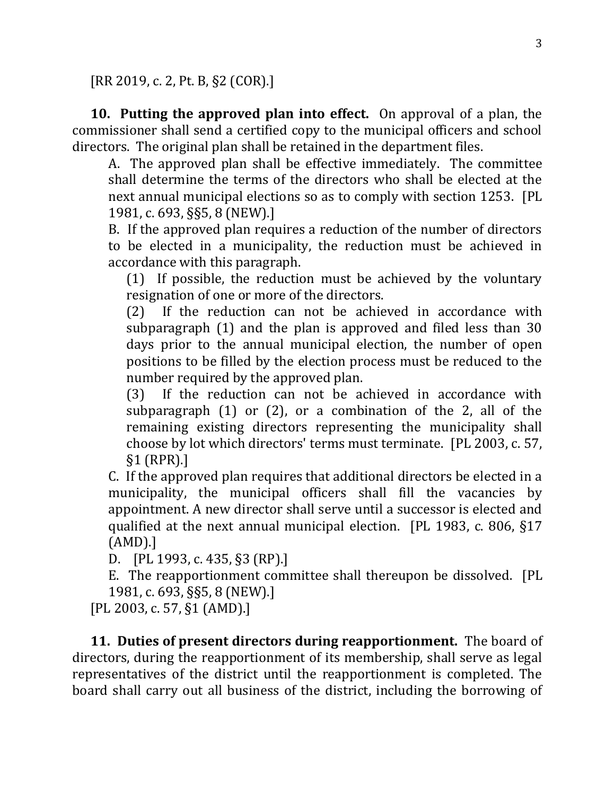[RR 2019, c. 2, Pt. B, §2 (COR).]

**10. Putting the approved plan into effect.** On approval of a plan, the commissioner shall send a certified copy to the municipal officers and school directors. The original plan shall be retained in the department files.

A. The approved plan shall be effective immediately. The committee shall determine the terms of the directors who shall be elected at the next annual municipal elections so as to comply with section 1253. [PL 1981, c. 693, §§5, 8 (NEW).]

B. If the approved plan requires a reduction of the number of directors to be elected in a municipality, the reduction must be achieved in accordance with this paragraph.

(1) If possible, the reduction must be achieved by the voluntary resignation of one or more of the directors.

(2) If the reduction can not be achieved in accordance with subparagraph (1) and the plan is approved and filed less than 30 days prior to the annual municipal election, the number of open positions to be filled by the election process must be reduced to the number required by the approved plan.

(3) If the reduction can not be achieved in accordance with subparagraph (1) or (2), or a combination of the 2, all of the remaining existing directors representing the municipality shall choose by lot which directors' terms must terminate. [PL 2003, c. 57, §1 (RPR).]

C. If the approved plan requires that additional directors be elected in a municipality, the municipal officers shall fill the vacancies by appointment. A new director shall serve until a successor is elected and qualified at the next annual municipal election. [PL 1983, c. 806, §17 (AMD).]

D. [PL 1993, c. 435, §3 (RP).]

E. The reapportionment committee shall thereupon be dissolved. [PL 1981, c. 693, §§5, 8 (NEW).]

[PL 2003, c. 57, §1 (AMD).]

**11. Duties of present directors during reapportionment.** The board of directors, during the reapportionment of its membership, shall serve as legal representatives of the district until the reapportionment is completed. The board shall carry out all business of the district, including the borrowing of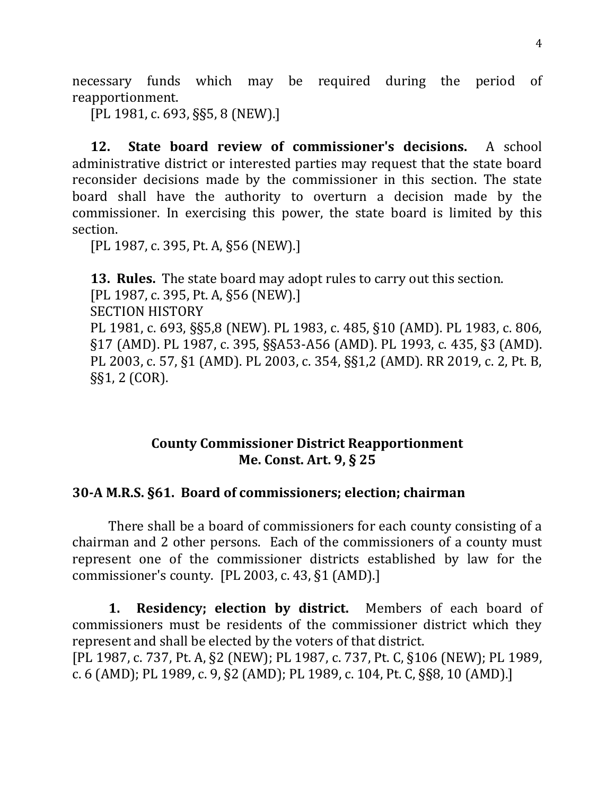necessary funds which may be required during the period of reapportionment.

[PL 1981, c. 693, §§5, 8 (NEW).]

**12. State board review of commissioner's decisions.** A school administrative district or interested parties may request that the state board reconsider decisions made by the commissioner in this section. The state board shall have the authority to overturn a decision made by the commissioner. In exercising this power, the state board is limited by this section.

[PL 1987, c. 395, Pt. A, §56 (NEW).]

**13. Rules.** The state board may adopt rules to carry out this section. [PL 1987, c. 395, Pt. A, §56 (NEW).] SECTION HISTORY PL 1981, c. 693, §§5,8 (NEW). PL 1983, c. 485, §10 (AMD). PL 1983, c. 806, §17 (AMD). PL 1987, c. 395, §§A53-A56 (AMD). PL 1993, c. 435, §3 (AMD). PL 2003, c. 57, §1 (AMD). PL 2003, c. 354, §§1,2 (AMD). RR 2019, c. 2, Pt. B, §§1, 2 (COR).

# **County Commissioner District Reapportionment Me. Const. Art. 9, § 25**

#### **30-A M.R.S. §61. Board of commissioners; election; chairman**

There shall be a board of commissioners for each county consisting of a chairman and 2 other persons. Each of the commissioners of a county must represent one of the commissioner districts established by law for the commissioner's county. [PL 2003, c. 43, §1 (AMD).]

**1. Residency; election by district.** Members of each board of commissioners must be residents of the commissioner district which they represent and shall be elected by the voters of that district. [PL 1987, c. 737, Pt. A, §2 (NEW); PL 1987, c. 737, Pt. C, §106 (NEW); PL 1989, c. 6 (AMD); PL 1989, c. 9, §2 (AMD); PL 1989, c. 104, Pt. C, §§8, 10 (AMD).]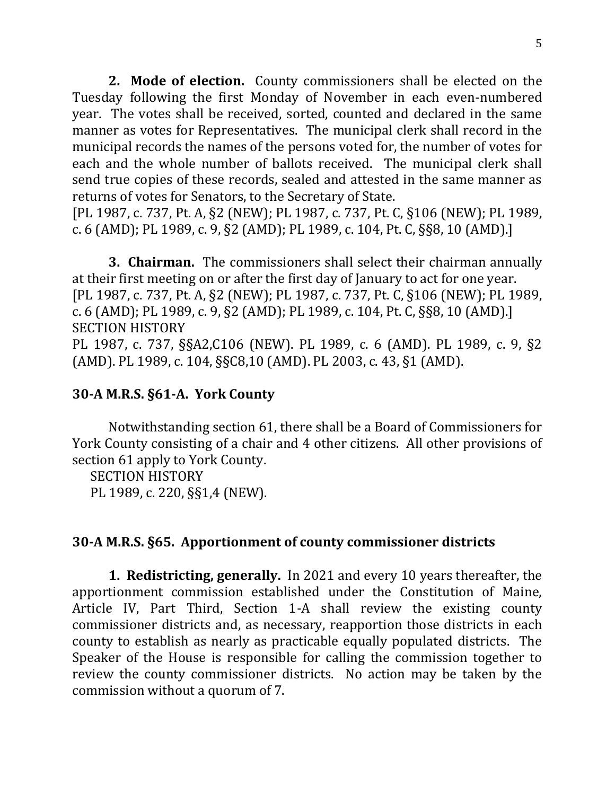**2. Mode of election.** County commissioners shall be elected on the Tuesday following the first Monday of November in each even-numbered year. The votes shall be received, sorted, counted and declared in the same manner as votes for Representatives. The municipal clerk shall record in the municipal records the names of the persons voted for, the number of votes for each and the whole number of ballots received. The municipal clerk shall send true copies of these records, sealed and attested in the same manner as returns of votes for Senators, to the Secretary of State.

[PL 1987, c. 737, Pt. A, §2 (NEW); PL 1987, c. 737, Pt. C, §106 (NEW); PL 1989, c. 6 (AMD); PL 1989, c. 9, §2 (AMD); PL 1989, c. 104, Pt. C, §§8, 10 (AMD).]

**3. Chairman.** The commissioners shall select their chairman annually at their first meeting on or after the first day of January to act for one year. [PL 1987, c. 737, Pt. A, §2 (NEW); PL 1987, c. 737, Pt. C, §106 (NEW); PL 1989, c. 6 (AMD); PL 1989, c. 9, §2 (AMD); PL 1989, c. 104, Pt. C, §§8, 10 (AMD).] SECTION HISTORY

PL 1987, c. 737, §§A2,C106 (NEW). PL 1989, c. 6 (AMD). PL 1989, c. 9, §2 (AMD). PL 1989, c. 104, §§C8,10 (AMD). PL 2003, c. 43, §1 (AMD).

### **30-A M.R.S. §61-A. York County**

Notwithstanding section 61, there shall be a Board of Commissioners for York County consisting of a chair and 4 other citizens. All other provisions of section 61 apply to York County.

SECTION HISTORY PL 1989, c. 220, §§1,4 (NEW).

#### **30-A M.R.S. §65. Apportionment of county commissioner districts**

**1. Redistricting, generally.** In 2021 and every 10 years thereafter, the apportionment commission established under the Constitution of Maine, Article IV, Part Third, Section 1-A shall review the existing county commissioner districts and, as necessary, reapportion those districts in each county to establish as nearly as practicable equally populated districts. The Speaker of the House is responsible for calling the commission together to review the county commissioner districts. No action may be taken by the commission without a quorum of 7.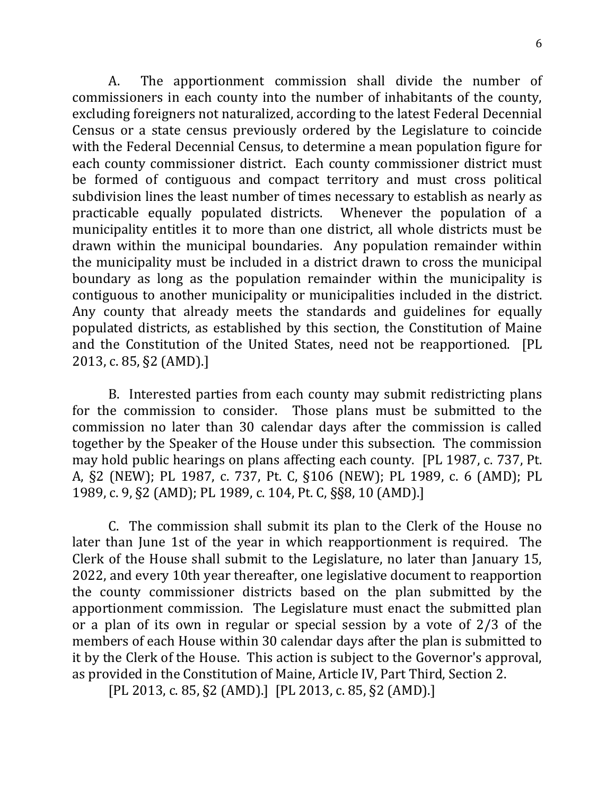A. The apportionment commission shall divide the number of commissioners in each county into the number of inhabitants of the county, excluding foreigners not naturalized, according to the latest Federal Decennial Census or a state census previously ordered by the Legislature to coincide with the Federal Decennial Census, to determine a mean population figure for each county commissioner district. Each county commissioner district must be formed of contiguous and compact territory and must cross political subdivision lines the least number of times necessary to establish as nearly as practicable equally populated districts. Whenever the population of a municipality entitles it to more than one district, all whole districts must be drawn within the municipal boundaries. Any population remainder within the municipality must be included in a district drawn to cross the municipal boundary as long as the population remainder within the municipality is contiguous to another municipality or municipalities included in the district. Any county that already meets the standards and guidelines for equally populated districts, as established by this section, the Constitution of Maine and the Constitution of the United States, need not be reapportioned. [PL 2013, c. 85, §2 (AMD).]

B. Interested parties from each county may submit redistricting plans for the commission to consider. Those plans must be submitted to the commission no later than 30 calendar days after the commission is called together by the Speaker of the House under this subsection. The commission may hold public hearings on plans affecting each county. [PL 1987, c. 737, Pt. A, §2 (NEW); PL 1987, c. 737, Pt. C, §106 (NEW); PL 1989, c. 6 (AMD); PL 1989, c. 9, §2 (AMD); PL 1989, c. 104, Pt. C, §§8, 10 (AMD).]

C. The commission shall submit its plan to the Clerk of the House no later than June 1st of the year in which reapportionment is required. The Clerk of the House shall submit to the Legislature, no later than January 15, 2022, and every 10th year thereafter, one legislative document to reapportion the county commissioner districts based on the plan submitted by the apportionment commission. The Legislature must enact the submitted plan or a plan of its own in regular or special session by a vote of 2/3 of the members of each House within 30 calendar days after the plan is submitted to it by the Clerk of the House. This action is subject to the Governor's approval, as provided in the Constitution of Maine, Article IV, Part Third, Section 2.

[PL 2013, c. 85, §2 (AMD).] [PL 2013, c. 85, §2 (AMD).]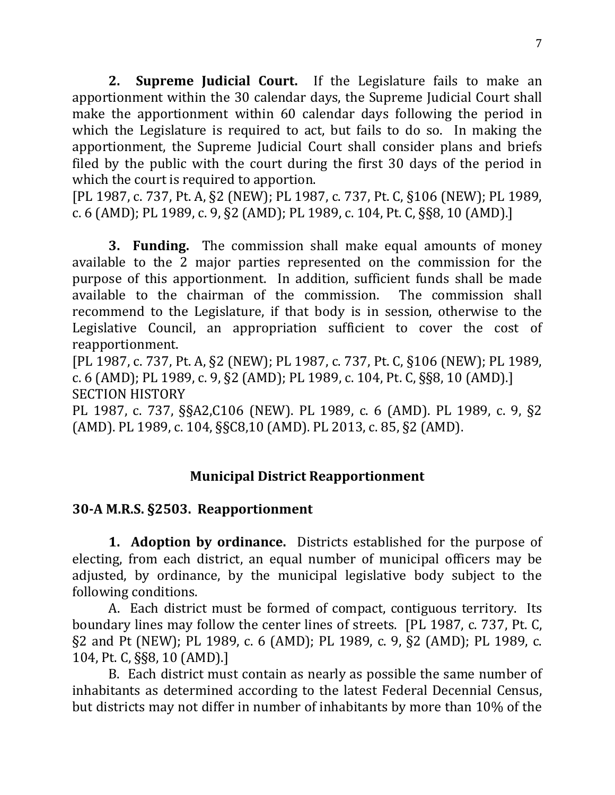**2. Supreme Judicial Court.** If the Legislature fails to make an apportionment within the 30 calendar days, the Supreme Judicial Court shall make the apportionment within 60 calendar days following the period in which the Legislature is required to act, but fails to do so. In making the apportionment, the Supreme Judicial Court shall consider plans and briefs filed by the public with the court during the first 30 days of the period in which the court is required to apportion.

[PL 1987, c. 737, Pt. A, §2 (NEW); PL 1987, c. 737, Pt. C, §106 (NEW); PL 1989, c. 6 (AMD); PL 1989, c. 9, §2 (AMD); PL 1989, c. 104, Pt. C, §§8, 10 (AMD).]

**3. Funding.** The commission shall make equal amounts of money available to the 2 major parties represented on the commission for the purpose of this apportionment. In addition, sufficient funds shall be made available to the chairman of the commission. The commission shall recommend to the Legislature, if that body is in session, otherwise to the Legislative Council, an appropriation sufficient to cover the cost of reapportionment.

[PL 1987, c. 737, Pt. A, §2 (NEW); PL 1987, c. 737, Pt. C, §106 (NEW); PL 1989, c. 6 (AMD); PL 1989, c. 9, §2 (AMD); PL 1989, c. 104, Pt. C, §§8, 10 (AMD).] SECTION HISTORY

PL 1987, c. 737, §§A2,C106 (NEW). PL 1989, c. 6 (AMD). PL 1989, c. 9, §2 (AMD). PL 1989, c. 104, §§C8,10 (AMD). PL 2013, c. 85, §2 (AMD).

# **Municipal District Reapportionment**

#### **30-A M.R.S. §2503. Reapportionment**

**1. Adoption by ordinance.** Districts established for the purpose of electing, from each district, an equal number of municipal officers may be adjusted, by ordinance, by the municipal legislative body subject to the following conditions.

A. Each district must be formed of compact, contiguous territory. Its boundary lines may follow the center lines of streets. [PL 1987, c. 737, Pt. C, §2 and Pt (NEW); PL 1989, c. 6 (AMD); PL 1989, c. 9, §2 (AMD); PL 1989, c. 104, Pt. C, §§8, 10 (AMD).]

B. Each district must contain as nearly as possible the same number of inhabitants as determined according to the latest Federal Decennial Census, but districts may not differ in number of inhabitants by more than 10% of the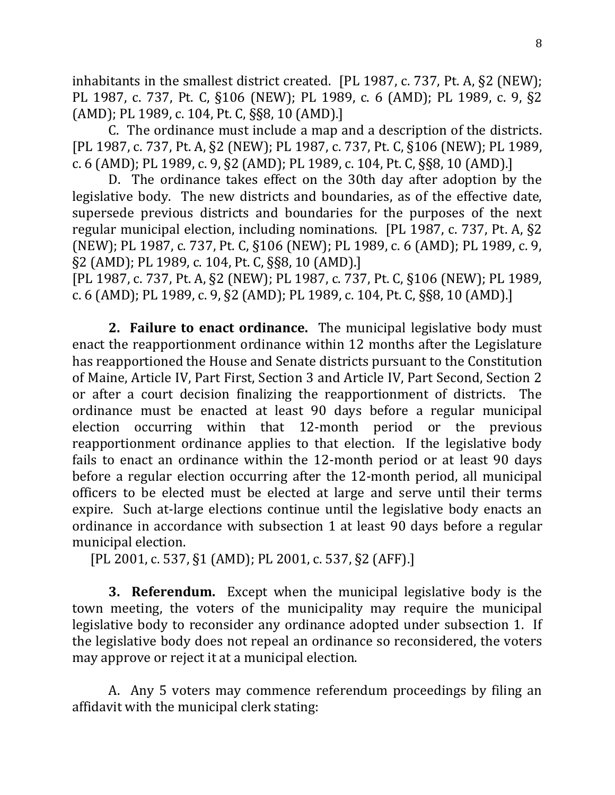inhabitants in the smallest district created. [PL 1987, c. 737, Pt. A, §2 (NEW); PL 1987, c. 737, Pt. C, §106 (NEW); PL 1989, c. 6 (AMD); PL 1989, c. 9, §2 (AMD); PL 1989, c. 104, Pt. C, §§8, 10 (AMD).]

C. The ordinance must include a map and a description of the districts. [PL 1987, c. 737, Pt. A, §2 (NEW); PL 1987, c. 737, Pt. C, §106 (NEW); PL 1989, c. 6 (AMD); PL 1989, c. 9, §2 (AMD); PL 1989, c. 104, Pt. C, §§8, 10 (AMD).]

D. The ordinance takes effect on the 30th day after adoption by the legislative body. The new districts and boundaries, as of the effective date, supersede previous districts and boundaries for the purposes of the next regular municipal election, including nominations. [PL 1987, c. 737, Pt. A, §2 (NEW); PL 1987, c. 737, Pt. C, §106 (NEW); PL 1989, c. 6 (AMD); PL 1989, c. 9, §2 (AMD); PL 1989, c. 104, Pt. C, §§8, 10 (AMD).]

[PL 1987, c. 737, Pt. A, §2 (NEW); PL 1987, c. 737, Pt. C, §106 (NEW); PL 1989, c. 6 (AMD); PL 1989, c. 9, §2 (AMD); PL 1989, c. 104, Pt. C, §§8, 10 (AMD).]

**2. Failure to enact ordinance.** The municipal legislative body must enact the reapportionment ordinance within 12 months after the Legislature has reapportioned the House and Senate districts pursuant to the Constitution of Maine, Article IV, Part First, Section 3 and Article IV, Part Second, Section 2 or after a court decision finalizing the reapportionment of districts. The ordinance must be enacted at least 90 days before a regular municipal election occurring within that 12-month period or the previous reapportionment ordinance applies to that election. If the legislative body fails to enact an ordinance within the 12-month period or at least 90 days before a regular election occurring after the 12-month period, all municipal officers to be elected must be elected at large and serve until their terms expire. Such at-large elections continue until the legislative body enacts an ordinance in accordance with subsection 1 at least 90 days before a regular municipal election.

[PL 2001, c. 537, §1 (AMD); PL 2001, c. 537, §2 (AFF).]

**3. Referendum.** Except when the municipal legislative body is the town meeting, the voters of the municipality may require the municipal legislative body to reconsider any ordinance adopted under subsection 1. If the legislative body does not repeal an ordinance so reconsidered, the voters may approve or reject it at a municipal election.

A. Any 5 voters may commence referendum proceedings by filing an affidavit with the municipal clerk stating: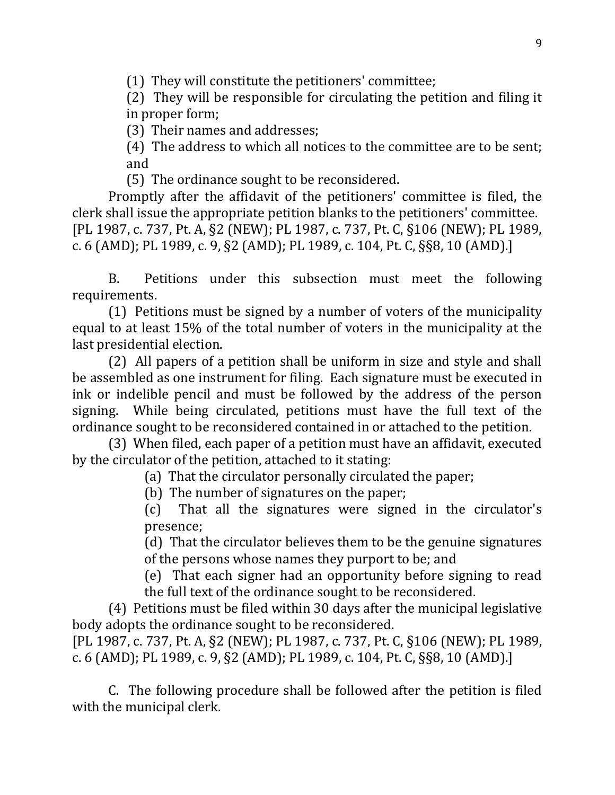(1) They will constitute the petitioners' committee;

(2) They will be responsible for circulating the petition and filing it in proper form;

(3) Their names and addresses;

(4) The address to which all notices to the committee are to be sent; and

(5) The ordinance sought to be reconsidered.

Promptly after the affidavit of the petitioners' committee is filed, the clerk shall issue the appropriate petition blanks to the petitioners' committee. [PL 1987, c. 737, Pt. A, §2 (NEW); PL 1987, c. 737, Pt. C, §106 (NEW); PL 1989, c. 6 (AMD); PL 1989, c. 9, §2 (AMD); PL 1989, c. 104, Pt. C, §§8, 10 (AMD).]

B. Petitions under this subsection must meet the following requirements.

(1) Petitions must be signed by a number of voters of the municipality equal to at least 15% of the total number of voters in the municipality at the last presidential election.

(2) All papers of a petition shall be uniform in size and style and shall be assembled as one instrument for filing. Each signature must be executed in ink or indelible pencil and must be followed by the address of the person signing. While being circulated, petitions must have the full text of the ordinance sought to be reconsidered contained in or attached to the petition.

(3) When filed, each paper of a petition must have an affidavit, executed by the circulator of the petition, attached to it stating:

(a) That the circulator personally circulated the paper;

(b) The number of signatures on the paper;

(c) That all the signatures were signed in the circulator's presence;

(d) That the circulator believes them to be the genuine signatures of the persons whose names they purport to be; and

(e) That each signer had an opportunity before signing to read the full text of the ordinance sought to be reconsidered.

(4) Petitions must be filed within 30 days after the municipal legislative body adopts the ordinance sought to be reconsidered.

[PL 1987, c. 737, Pt. A, §2 (NEW); PL 1987, c. 737, Pt. C, §106 (NEW); PL 1989, c. 6 (AMD); PL 1989, c. 9, §2 (AMD); PL 1989, c. 104, Pt. C, §§8, 10 (AMD).]

C. The following procedure shall be followed after the petition is filed with the municipal clerk.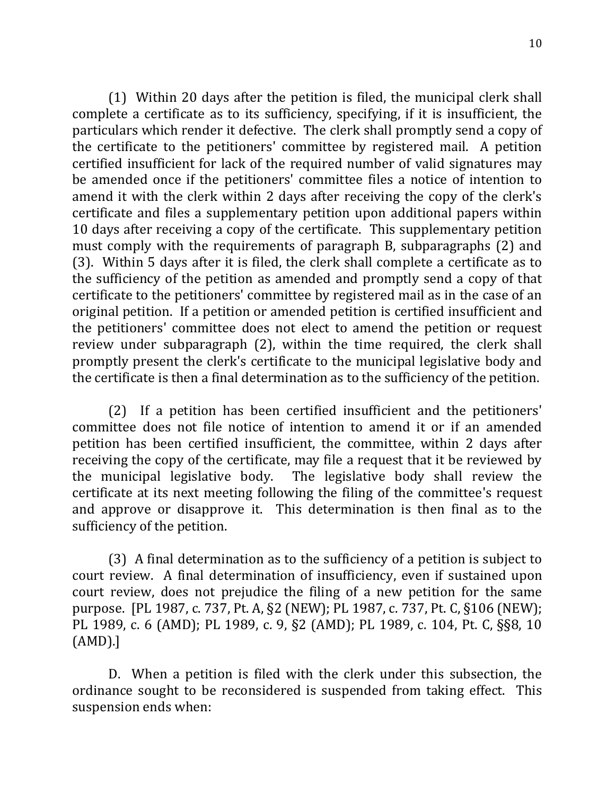(1) Within 20 days after the petition is filed, the municipal clerk shall complete a certificate as to its sufficiency, specifying, if it is insufficient, the particulars which render it defective. The clerk shall promptly send a copy of the certificate to the petitioners' committee by registered mail. A petition certified insufficient for lack of the required number of valid signatures may be amended once if the petitioners' committee files a notice of intention to amend it with the clerk within 2 days after receiving the copy of the clerk's certificate and files a supplementary petition upon additional papers within 10 days after receiving a copy of the certificate. This supplementary petition must comply with the requirements of paragraph B, subparagraphs (2) and (3). Within 5 days after it is filed, the clerk shall complete a certificate as to the sufficiency of the petition as amended and promptly send a copy of that certificate to the petitioners' committee by registered mail as in the case of an original petition. If a petition or amended petition is certified insufficient and the petitioners' committee does not elect to amend the petition or request review under subparagraph (2), within the time required, the clerk shall promptly present the clerk's certificate to the municipal legislative body and the certificate is then a final determination as to the sufficiency of the petition.

(2) If a petition has been certified insufficient and the petitioners' committee does not file notice of intention to amend it or if an amended petition has been certified insufficient, the committee, within 2 days after receiving the copy of the certificate, may file a request that it be reviewed by the municipal legislative body. The legislative body shall review the certificate at its next meeting following the filing of the committee's request and approve or disapprove it. This determination is then final as to the sufficiency of the petition.

(3) A final determination as to the sufficiency of a petition is subject to court review. A final determination of insufficiency, even if sustained upon court review, does not prejudice the filing of a new petition for the same purpose. [PL 1987, c. 737, Pt. A, §2 (NEW); PL 1987, c. 737, Pt. C, §106 (NEW); PL 1989, c. 6 (AMD); PL 1989, c. 9, §2 (AMD); PL 1989, c. 104, Pt. C, §§8, 10 (AMD).]

D. When a petition is filed with the clerk under this subsection, the ordinance sought to be reconsidered is suspended from taking effect. This suspension ends when: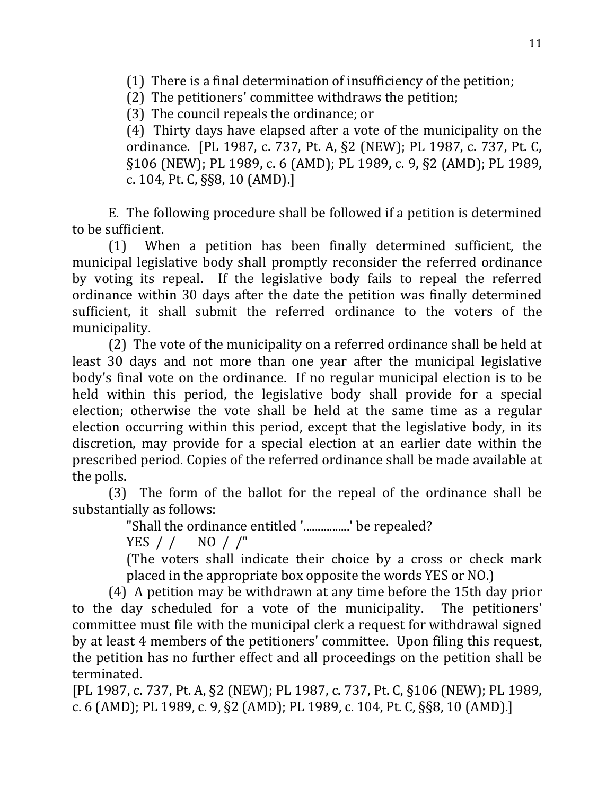(1) There is a final determination of insufficiency of the petition;

(2) The petitioners' committee withdraws the petition;

(3) The council repeals the ordinance; or

(4) Thirty days have elapsed after a vote of the municipality on the ordinance. [PL 1987, c. 737, Pt. A, §2 (NEW); PL 1987, c. 737, Pt. C, §106 (NEW); PL 1989, c. 6 (AMD); PL 1989, c. 9, §2 (AMD); PL 1989, c. 104, Pt. C, §§8, 10 (AMD).]

E. The following procedure shall be followed if a petition is determined to be sufficient.

(1) When a petition has been finally determined sufficient, the municipal legislative body shall promptly reconsider the referred ordinance by voting its repeal. If the legislative body fails to repeal the referred ordinance within 30 days after the date the petition was finally determined sufficient, it shall submit the referred ordinance to the voters of the municipality.

(2) The vote of the municipality on a referred ordinance shall be held at least 30 days and not more than one year after the municipal legislative body's final vote on the ordinance. If no regular municipal election is to be held within this period, the legislative body shall provide for a special election; otherwise the vote shall be held at the same time as a regular election occurring within this period, except that the legislative body, in its discretion, may provide for a special election at an earlier date within the prescribed period. Copies of the referred ordinance shall be made available at the polls.

(3) The form of the ballot for the repeal of the ordinance shall be substantially as follows:

"Shall the ordinance entitled '................' be repealed?

YES / / NO / /"

(The voters shall indicate their choice by a cross or check mark placed in the appropriate box opposite the words YES or NO.)

(4) A petition may be withdrawn at any time before the 15th day prior to the day scheduled for a vote of the municipality. The petitioners' committee must file with the municipal clerk a request for withdrawal signed by at least 4 members of the petitioners' committee. Upon filing this request, the petition has no further effect and all proceedings on the petition shall be terminated.

[PL 1987, c. 737, Pt. A, §2 (NEW); PL 1987, c. 737, Pt. C, §106 (NEW); PL 1989, c. 6 (AMD); PL 1989, c. 9, §2 (AMD); PL 1989, c. 104, Pt. C, §§8, 10 (AMD).]